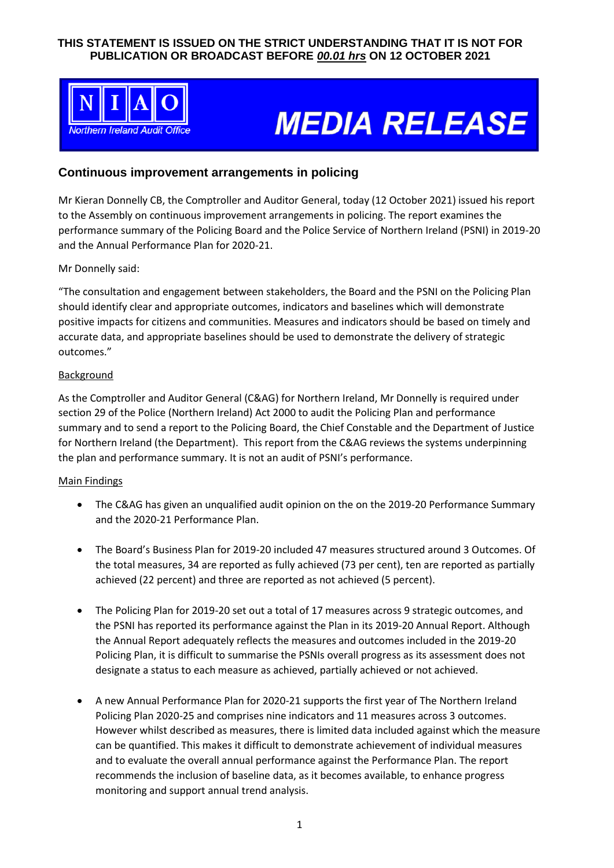## **THIS STATEMENT IS ISSUED ON THE STRICT UNDERSTANDING THAT IT IS NOT FOR PUBLICATION OR BROADCAST BEFORE** *00.01 hrs* **ON 12 OCTOBER 2021**



# **MEDIA RELEASE**

# **Continuous improvement arrangements in policing**

Mr Kieran Donnelly CB, the Comptroller and Auditor General, today (12 October 2021) issued his report to the Assembly on continuous improvement arrangements in policing. The report examines the performance summary of the Policing Board and the Police Service of Northern Ireland (PSNI) in 2019-20 and the Annual Performance Plan for 2020-21.

#### Mr Donnelly said:

"The consultation and engagement between stakeholders, the Board and the PSNI on the Policing Plan should identify clear and appropriate outcomes, indicators and baselines which will demonstrate positive impacts for citizens and communities. Measures and indicators should be based on timely and accurate data, and appropriate baselines should be used to demonstrate the delivery of strategic outcomes."

#### **Background**

As the Comptroller and Auditor General (C&AG) for Northern Ireland, Mr Donnelly is required under section 29 of the Police (Northern Ireland) Act 2000 to audit the Policing Plan and performance summary and to send a report to the Policing Board, the Chief Constable and the Department of Justice for Northern Ireland (the Department). This report from the C&AG reviews the systems underpinning the plan and performance summary. It is not an audit of PSNI's performance.

#### Main Findings

- The C&AG has given an unqualified audit opinion on the on the 2019-20 Performance Summary and the 2020-21 Performance Plan.
- The Board's Business Plan for 2019-20 included 47 measures structured around 3 Outcomes. Of the total measures, 34 are reported as fully achieved (73 per cent), ten are reported as partially achieved (22 percent) and three are reported as not achieved (5 percent).
- The Policing Plan for 2019-20 set out a total of 17 measures across 9 strategic outcomes, and the PSNI has reported its performance against the Plan in its 2019-20 Annual Report. Although the Annual Report adequately reflects the measures and outcomes included in the 2019-20 Policing Plan, it is difficult to summarise the PSNIs overall progress as its assessment does not designate a status to each measure as achieved, partially achieved or not achieved.
- A new Annual Performance Plan for 2020-21 supports the first year of The Northern Ireland Policing Plan 2020-25 and comprises nine indicators and 11 measures across 3 outcomes. However whilst described as measures, there is limited data included against which the measure can be quantified. This makes it difficult to demonstrate achievement of individual measures and to evaluate the overall annual performance against the Performance Plan. The report recommends the inclusion of baseline data, as it becomes available, to enhance progress monitoring and support annual trend analysis.